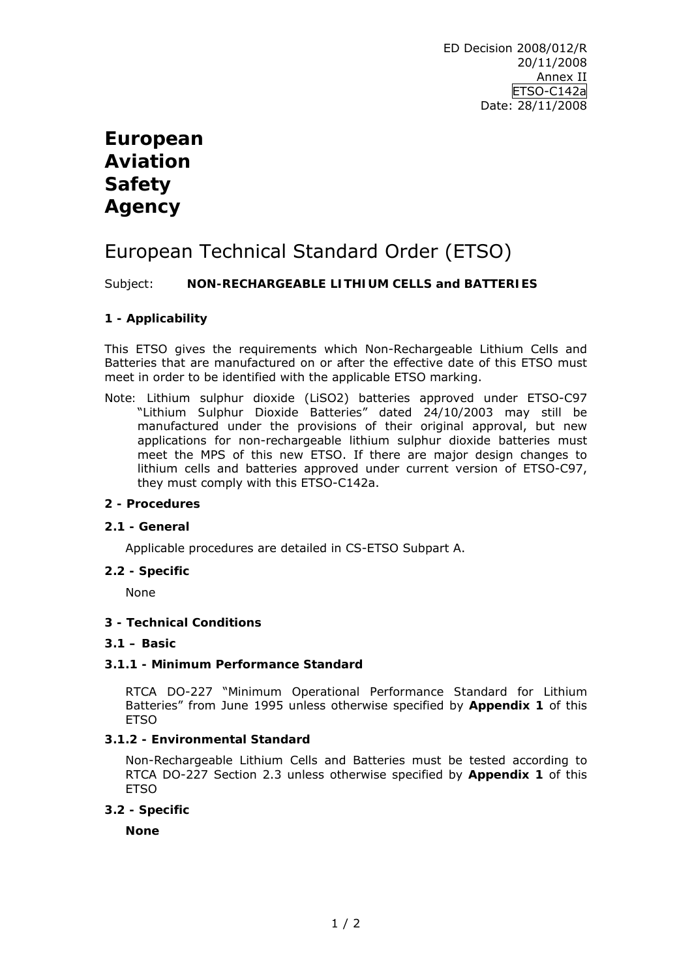# **European Aviation Safety Agency**

# European Technical Standard Order (ETSO)

Subject: **NON-RECHARGEABLE LITHIUM CELLS and BATTERIES** 

# **1 - Applicability**

This ETSO gives the requirements which Non-Rechargeable Lithium Cells and Batteries that are manufactured on or after the effective date of this ETSO must meet in order to be identified with the applicable ETSO marking.

*Note:* Lithium sulphur dioxide (LiSO2) batteries approved under ETSO-C97 "*Lithium Sulphur Dioxide Batteries*" dated 24/10/2003 may still be manufactured under the provisions of their original approval, but new applications for non-rechargeable lithium sulphur dioxide batteries must meet the MPS of this new ETSO. If there are major design changes to lithium cells and batteries approved under current version of ETSO-C97, they must comply with this ETSO-C142a.

# **2 - Procedures**

# **2.1 - General**

Applicable procedures are detailed in CS-ETSO Subpart A.

# **2.2 - Specific**

None

# **3 - Technical Conditions**

## **3.1 – Basic**

# **3.1.1 - Minimum Performance Standard**

RTCA DO-227 "*Minimum Operational Performance Standard for Lithium Batteries*" from June 1995 unless otherwise specified by **Appendix 1** of this **ETSO** 

# **3.1.2 - Environmental Standard**

Non-Rechargeable Lithium Cells and Batteries must be tested according to RTCA DO-227 Section 2.3 unless otherwise specified by **Appendix 1** of this **ETSO** 

# **3.2 - Specific**

**None**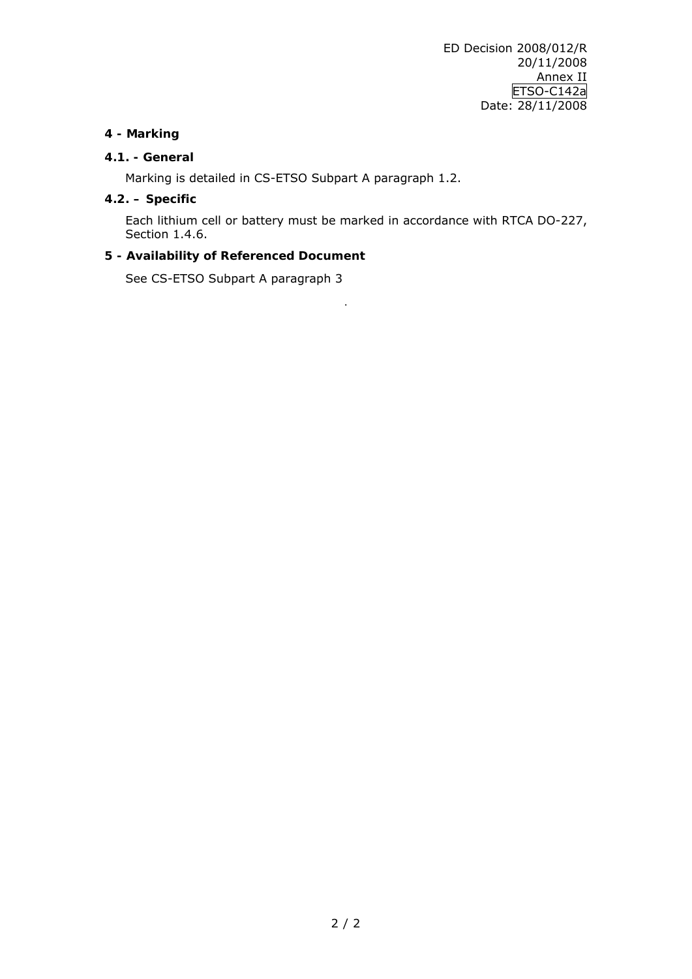# **4 - Marking**

# **4.1. - General**

Marking is detailed in CS-ETSO Subpart A paragraph 1.2.

# **4.2. – Specific**

Each lithium cell or battery must be marked in accordance with RTCA DO-227, Section 1.4.6.

.

# **5 - Availability of Referenced Document**

See CS-ETSO Subpart A paragraph 3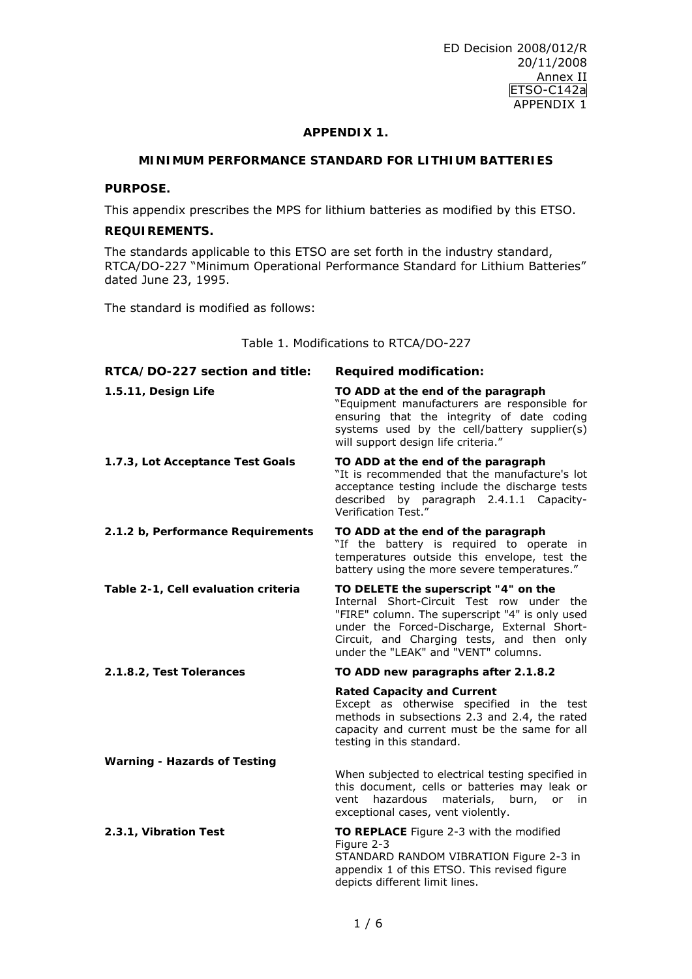#### **APPENDIX 1.**

# **MINIMUM PERFORMANCE STANDARD FOR LITHIUM BATTERIES**

# **PURPOSE.**

This appendix prescribes the MPS for lithium batteries as modified by this ETSO.

# **REQUIREMENTS.**

The standards applicable to this ETSO are set forth in the industry standard, RTCA/DO-227 "Minimum Operational Performance Standard for Lithium Batteries" dated June 23, 1995.

The standard is modified as follows:

Table 1. Modifications to RTCA/DO-227

| RTCA/DO-227 section and title:      | <b>Required modification:</b>                                                                                                                                                                                                                                             |
|-------------------------------------|---------------------------------------------------------------------------------------------------------------------------------------------------------------------------------------------------------------------------------------------------------------------------|
| 1.5.11, Design Life                 | TO ADD at the end of the paragraph<br>"Equipment manufacturers are responsible for<br>ensuring that the integrity of date coding<br>systems used by the cell/battery supplier(s)<br>will support design life criteria."                                                   |
| 1.7.3, Lot Acceptance Test Goals    | TO ADD at the end of the paragraph<br>"It is recommended that the manufacture's lot<br>acceptance testing include the discharge tests<br>by paragraph 2.4.1.1 Capacity-<br>described<br>Verification Test."                                                               |
| 2.1.2 b, Performance Requirements   | TO ADD at the end of the paragraph<br>"If the battery is required to operate in<br>temperatures outside this envelope, test the<br>battery using the more severe temperatures."                                                                                           |
| Table 2-1, Cell evaluation criteria | TO DELETE the superscript "4" on the<br>Internal Short-Circuit Test row under the<br>"FIRE" column. The superscript "4" is only used<br>under the Forced-Discharge, External Short-<br>Circuit, and Charging tests, and then only<br>under the "LEAK" and "VENT" columns. |
| 2.1.8.2, Test Tolerances            | TO ADD new paragraphs after 2.1.8.2                                                                                                                                                                                                                                       |
|                                     | <b>Rated Capacity and Current</b><br>Except as otherwise specified in the test<br>methods in subsections 2.3 and 2.4, the rated<br>capacity and current must be the same for all<br>testing in this standard.                                                             |
| <b>Warning - Hazards of Testing</b> |                                                                                                                                                                                                                                                                           |
|                                     | When subjected to electrical testing specified in<br>this document, cells or batteries may leak or<br>materials, burn,<br>vent<br>hazardous<br>or<br>in<br>exceptional cases, vent violently.                                                                             |
| 2.3.1, Vibration Test               | TO REPLACE Figure 2-3 with the modified<br>Figure 2-3<br>STANDARD RANDOM VIBRATION Figure 2-3 in<br>appendix 1 of this ETSO. This revised figure<br>depicts different limit lines.                                                                                        |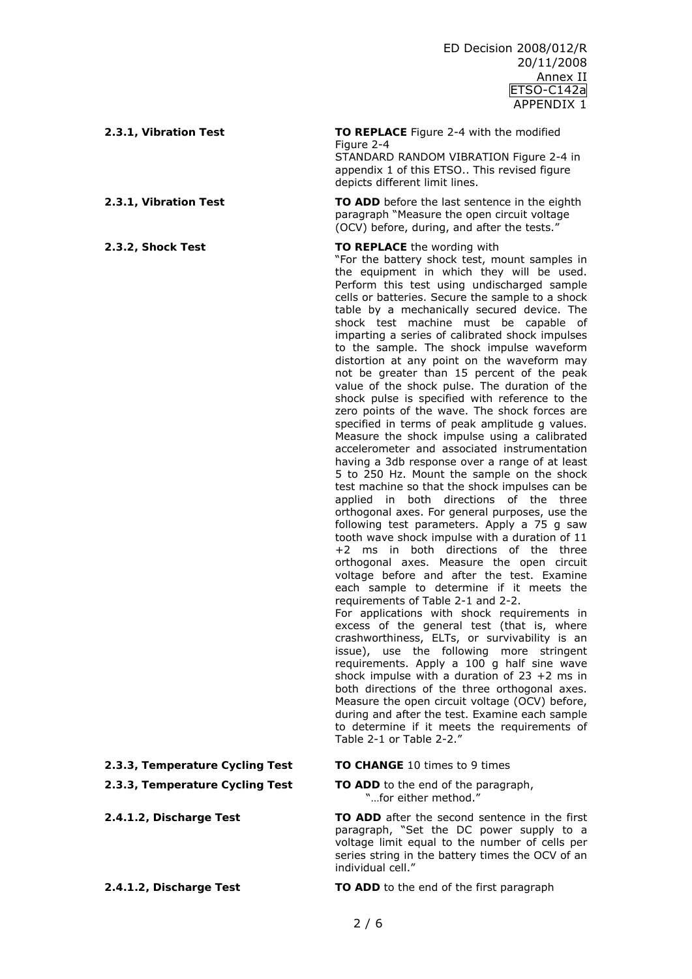#### **2.3.1, Vibration Test TO REPLACE** Figure 2-4 with the modified

Figure 2-4 STANDARD RANDOM VIBRATION Figure 2-4 in

appendix 1 of this ETSO.. This revised figure depicts different limit lines.

**2.3.1, Vibration Test TO ADD** before the last sentence in the eighth paragraph "Measure the open circuit voltage (OCV) before, during, and after the tests."

#### **2.3.2, Shock Test TO REPLACE** the wording with

"For the battery shock test, mount samples in the equipment in which they will be used. Perform this test using undischarged sample cells or batteries. Secure the sample to a shock table by a mechanically secured device. The shock test machine must be capable of imparting a series of calibrated shock impulses to the sample. The shock impulse waveform distortion at any point on the waveform may not be greater than 15 percent of the peak value of the shock pulse. The duration of the shock pulse is specified with reference to the zero points of the wave. The shock forces are specified in terms of peak amplitude g values. Measure the shock impulse using a calibrated accelerometer and associated instrumentation having a 3db response over a range of at least 5 to 250 Hz. Mount the sample on the shock test machine so that the shock impulses can be applied in both directions of the three orthogonal axes. For general purposes, use the following test parameters. Apply a 75 g saw tooth wave shock impulse with a duration of 11 +2 ms in both directions of the three orthogonal axes. Measure the open circuit voltage before and after the test. Examine each sample to determine if it meets the requirements of Table 2-1 and 2-2. For applications with shock requirements in

excess of the general test (that is, where crashworthiness, ELTs, or survivability is an issue), use the following more stringent requirements. Apply a 100 g half sine wave shock impulse with a duration of  $23 + 2$  ms in both directions of the three orthogonal axes. Measure the open circuit voltage (OCV) before, during and after the test. Examine each sample to determine if it meets the requirements of Table 2-1 or Table 2-2."

#### **2.3.3, Temperature Cycling Test TO CHANGE** 10 times to 9 times

#### **2.3.3, Temperature Cycling Test TO ADD** to the end of the paragraph, "...for either method."

**2.4.1.2, Discharge Test TO ADD** after the second sentence in the first paragraph, "Set the DC power supply to a voltage limit equal to the number of cells per series string in the battery times the OCV of an individual cell."

**2.4.1.2, Discharge Test TO ADD** to the end of the first paragraph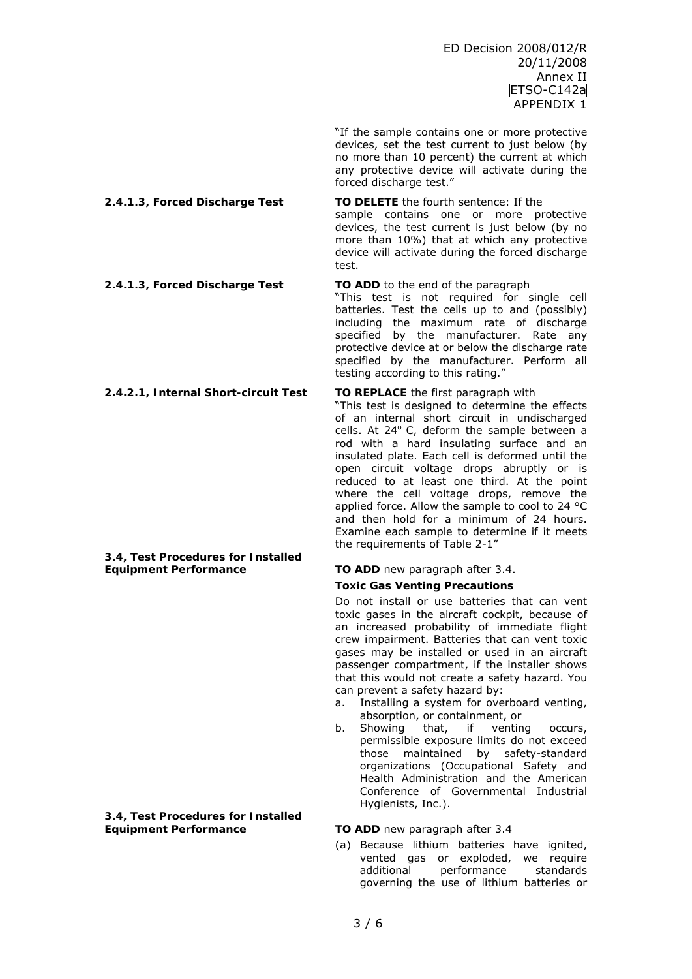"If the sample contains one or more protective devices, set the test current to just below (by no more than 10 percent) the current at which any protective device will activate during the forced discharge test."

sample contains one or more protective devices, the test current is just below (by no more than 10%) that at which any protective device will activate during the forced discharge

"This test is not required for single cell batteries. Test the cells up to and (possibly) including the maximum rate of discharge specified by the manufacturer. Rate any protective device at or below the discharge rate

test.

**2.4.1.3, Forced Discharge Test TO DELETE** the fourth sentence: If the

**2.4.1.3, Forced Discharge Test TO ADD** to the end of the paragraph

**3.4, Test Procedures for Installed Equipment Performance TO ADD** new paragraph after 3.4.

**3.4, Test Procedures for Installed Equipment Performance TO ADD** new paragraph after 3.4

specified by the manufacturer. Perform all testing according to this rating." **2.4.2.1, Internal Short-circuit Test TO REPLACE** the first paragraph with "This test is designed to determine the effects of an internal short circuit in undischarged cells. At 24<sup>ο</sup> C, deform the sample between a rod with a hard insulating surface and an insulated plate. Each cell is deformed until the open circuit voltage drops abruptly or is reduced to at least one third. At the point where the cell voltage drops, remove the applied force. Allow the sample to cool to 24 °C and then hold for a minimum of 24 hours. Examine each sample to determine if it meets

the requirements of Table 2-1"

# **Toxic Gas Venting Precautions**

Do not install or use batteries that can vent toxic gases in the aircraft cockpit, because of an increased probability of immediate flight crew impairment. Batteries that can vent toxic gases may be installed or used in an aircraft passenger compartment, if the installer shows that this would not create a safety hazard. You can prevent a safety hazard by:

- a. Installing a system for overboard venting, absorption, or containment, or
- b. Showing that, if venting occurs, permissible exposure limits do not exceed those maintained by safety-standard organizations (Occupational Safety and Health Administration and the American Conference of Governmental Industrial Hygienists, Inc.).

(a) Because lithium batteries have ignited, vented gas or exploded, we require additional performance standards governing the use of lithium batteries or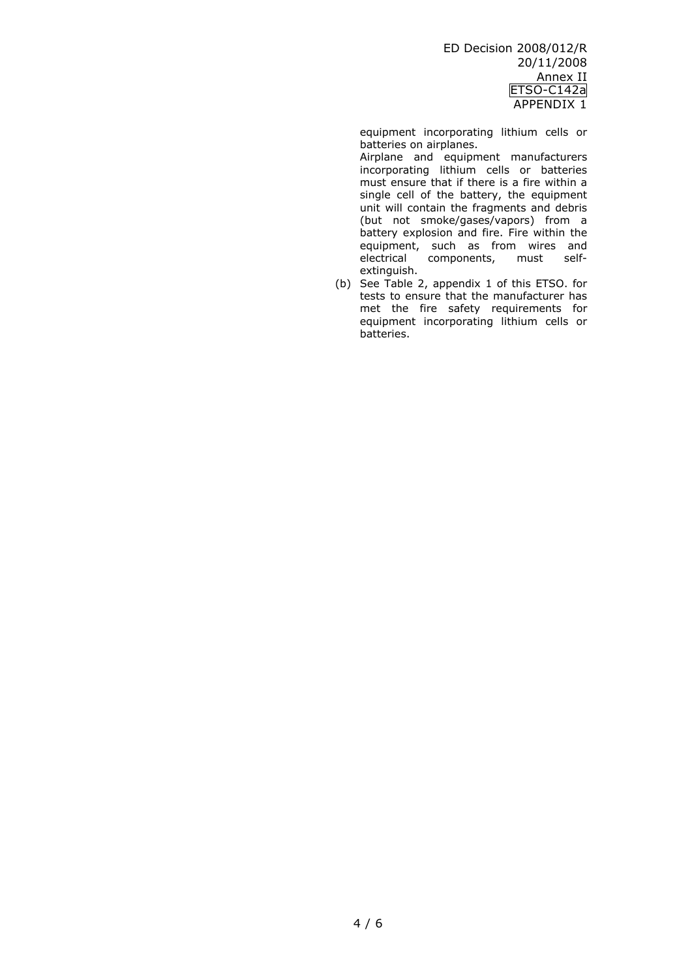equipment incorporating lithium cells or batteries on airplanes.

 Airplane and equipment manufacturers incorporating lithium cells or batteries must ensure that if there is a fire within a single cell of the battery, the equipment unit will contain the fragments and debris (but not smoke/gases/vapors) from a battery explosion and fire. Fire within the equipment, such as from wires and electrical components, must selfextinguish.

(b) See Table 2, appendix 1 of this ETSO. for tests to ensure that the manufacturer has met the fire safety requirements for equipment incorporating lithium cells or batteries.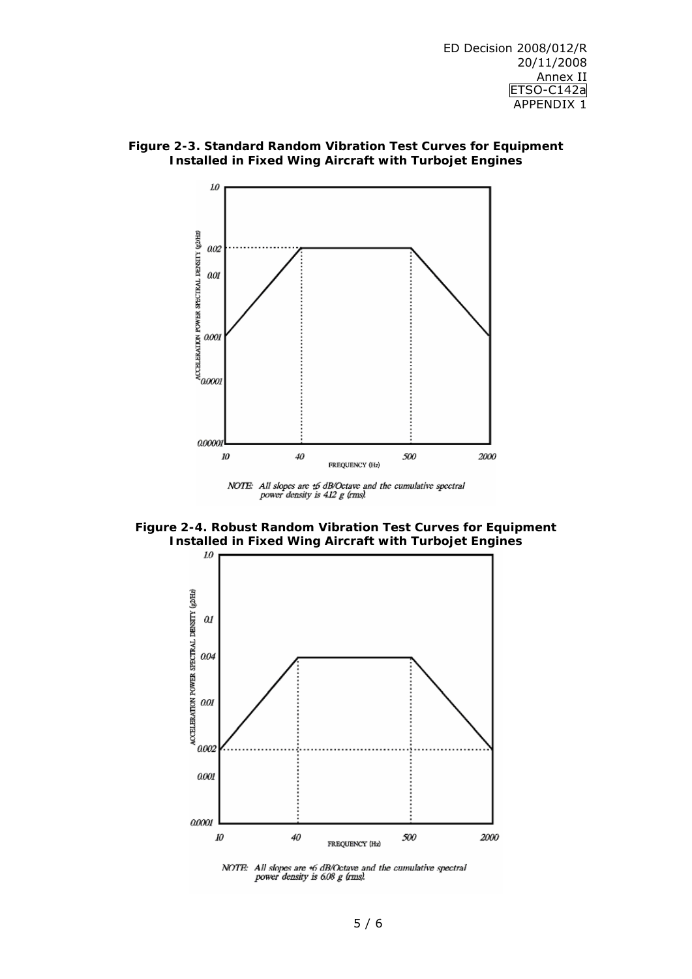

**Figure 2-3. Standard Random Vibration Test Curves for Equipment Installed in Fixed Wing Aircraft with Turbojet Engines**

NOTE: All slopes are  $\angle$ 6 dB/Octave and the cumulative spectral power density is 4.12 g (rms).

**Figure 2-4. Robust Random Vibration Test Curves for Equipment Installed in Fixed Wing Aircraft with Turbojet Engines** 



NOTE: All slopes are 46 dB/Octave and the cumulative spectral power density is 6.08 g (rms).